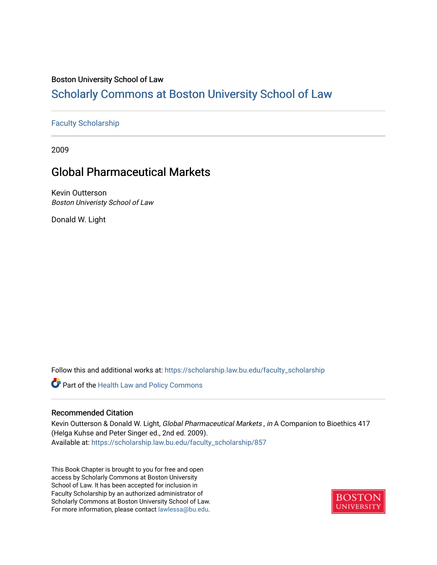#### Boston University School of Law

### [Scholarly Commons at Boston University School of Law](https://scholarship.law.bu.edu/)

#### [Faculty Scholarship](https://scholarship.law.bu.edu/faculty_scholarship)

2009

## Global Pharmaceutical Markets

Kevin Outterson Boston Univeristy School of Law

Donald W. Light

Follow this and additional works at: [https://scholarship.law.bu.edu/faculty\\_scholarship](https://scholarship.law.bu.edu/faculty_scholarship?utm_source=scholarship.law.bu.edu%2Ffaculty_scholarship%2F857&utm_medium=PDF&utm_campaign=PDFCoverPages)

Part of the [Health Law and Policy Commons](https://network.bepress.com/hgg/discipline/901?utm_source=scholarship.law.bu.edu%2Ffaculty_scholarship%2F857&utm_medium=PDF&utm_campaign=PDFCoverPages) 

#### Recommended Citation

Kevin Outterson & Donald W. Light, Global Pharmaceutical Markets , in A Companion to Bioethics 417 (Helga Kuhse and Peter Singer ed., 2nd ed. 2009). Available at: [https://scholarship.law.bu.edu/faculty\\_scholarship/857](https://scholarship.law.bu.edu/faculty_scholarship/857?utm_source=scholarship.law.bu.edu%2Ffaculty_scholarship%2F857&utm_medium=PDF&utm_campaign=PDFCoverPages) 

This Book Chapter is brought to you for free and open access by Scholarly Commons at Boston University School of Law. It has been accepted for inclusion in Faculty Scholarship by an authorized administrator of Scholarly Commons at Boston University School of Law. For more information, please contact [lawlessa@bu.edu](mailto:lawlessa@bu.edu).

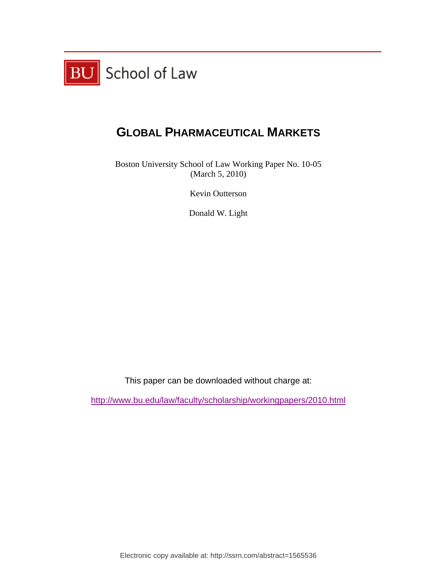

# **GLOBAL PHARMACEUTICAL MARKETS**

Boston University School of Law Working Paper No. 10-05 (March 5, 2010)

Kevin Outterson

Donald W. Light

This paper can be downloaded without charge at:

http://www.bu.edu/law/faculty/scholarship/workingpapers/2010.html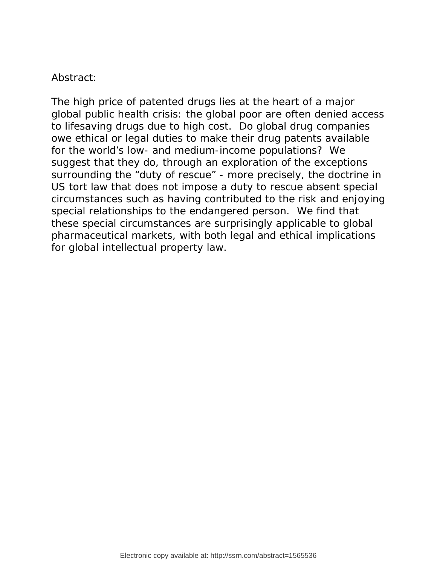### Abstract:

The high price of patented drugs lies at the heart of a major global public health crisis: the global poor are often denied access to lifesaving drugs due to high cost. Do global drug companies owe ethical or legal duties to make their drug patents available for the world's low- and medium-income populations? We suggest that they do, through an exploration of the exceptions surrounding the "duty of rescue" - more precisely, the doctrine in US tort law that does not impose a duty to rescue absent special circumstances such as having contributed to the risk and enjoying special relationships to the endangered person. We find that these special circumstances are surprisingly applicable to global pharmaceutical markets, with both legal and ethical implications for global intellectual property law.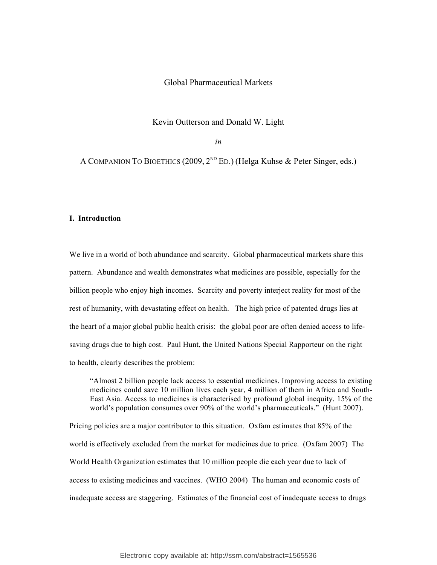#### Global Pharmaceutical Markets

#### Kevin Outterson and Donald W. Light

*in*

A COMPANION TO BIOETHICS (2009,  $2^{ND}$  ED.) (Helga Kuhse & Peter Singer, eds.)

#### **I. Introduction**

We live in a world of both abundance and scarcity. Global pharmaceutical markets share this pattern. Abundance and wealth demonstrates what medicines are possible, especially for the billion people who enjoy high incomes. Scarcity and poverty interject reality for most of the rest of humanity, with devastating effect on health. The high price of patented drugs lies at the heart of a major global public health crisis: the global poor are often denied access to lifesaving drugs due to high cost. Paul Hunt, the United Nations Special Rapporteur on the right to health, clearly describes the problem:

"Almost 2 billion people lack access to essential medicines. Improving access to existing medicines could save 10 million lives each year, 4 million of them in Africa and South-East Asia. Access to medicines is characterised by profound global inequity. 15% of the world's population consumes over 90% of the world's pharmaceuticals." (Hunt 2007).

Pricing policies are a major contributor to this situation. Oxfam estimates that 85% of the world is effectively excluded from the market for medicines due to price. (Oxfam 2007) The World Health Organization estimates that 10 million people die each year due to lack of access to existing medicines and vaccines. (WHO 2004) The human and economic costs of inadequate access are staggering. Estimates of the financial cost of inadequate access to drugs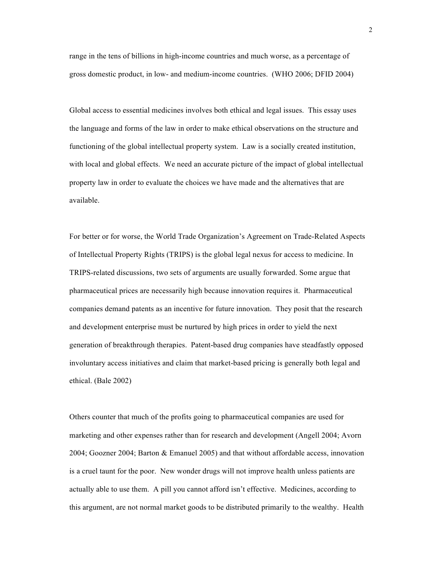range in the tens of billions in high-income countries and much worse, as a percentage of gross domestic product, in low- and medium-income countries. (WHO 2006; DFID 2004)

Global access to essential medicines involves both ethical and legal issues. This essay uses the language and forms of the law in order to make ethical observations on the structure and functioning of the global intellectual property system. Law is a socially created institution, with local and global effects. We need an accurate picture of the impact of global intellectual property law in order to evaluate the choices we have made and the alternatives that are available.

For better or for worse, the World Trade Organization's Agreement on Trade-Related Aspects of Intellectual Property Rights (TRIPS) is the global legal nexus for access to medicine. In TRIPS-related discussions, two sets of arguments are usually forwarded. Some argue that pharmaceutical prices are necessarily high because innovation requires it. Pharmaceutical companies demand patents as an incentive for future innovation. They posit that the research and development enterprise must be nurtured by high prices in order to yield the next generation of breakthrough therapies. Patent-based drug companies have steadfastly opposed involuntary access initiatives and claim that market-based pricing is generally both legal and ethical. (Bale 2002)

Others counter that much of the profits going to pharmaceutical companies are used for marketing and other expenses rather than for research and development (Angell 2004; Avorn 2004; Goozner 2004; Barton & Emanuel 2005) and that without affordable access, innovation is a cruel taunt for the poor. New wonder drugs will not improve health unless patients are actually able to use them. A pill you cannot afford isn't effective. Medicines, according to this argument, are not normal market goods to be distributed primarily to the wealthy. Health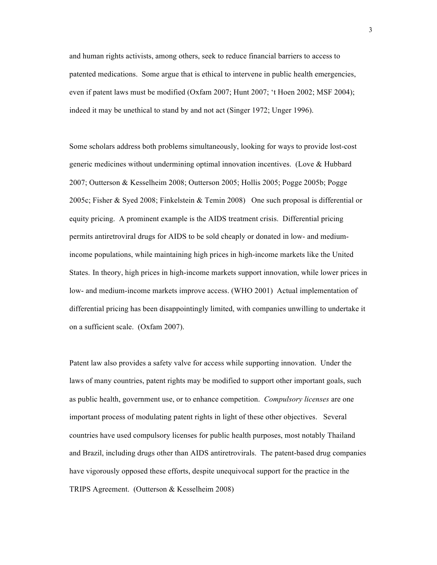and human rights activists, among others, seek to reduce financial barriers to access to patented medications. Some argue that is ethical to intervene in public health emergencies, even if patent laws must be modified (Oxfam 2007; Hunt 2007; 't Hoen 2002; MSF 2004); indeed it may be unethical to stand by and not act (Singer 1972; Unger 1996).

Some scholars address both problems simultaneously, looking for ways to provide lost-cost generic medicines without undermining optimal innovation incentives. (Love & Hubbard 2007; Outterson & Kesselheim 2008; Outterson 2005; Hollis 2005; Pogge 2005b; Pogge 2005c; Fisher & Syed 2008; Finkelstein & Temin 2008) One such proposal is differential or equity pricing. A prominent example is the AIDS treatment crisis. Differential pricing permits antiretroviral drugs for AIDS to be sold cheaply or donated in low- and mediumincome populations, while maintaining high prices in high-income markets like the United States. In theory, high prices in high-income markets support innovation, while lower prices in low- and medium-income markets improve access. (WHO 2001) Actual implementation of differential pricing has been disappointingly limited, with companies unwilling to undertake it on a sufficient scale. (Oxfam 2007).

Patent law also provides a safety valve for access while supporting innovation. Under the laws of many countries, patent rights may be modified to support other important goals, such as public health, government use, or to enhance competition. *Compulsory licenses* are one important process of modulating patent rights in light of these other objectives. Several countries have used compulsory licenses for public health purposes, most notably Thailand and Brazil, including drugs other than AIDS antiretrovirals. The patent-based drug companies have vigorously opposed these efforts, despite unequivocal support for the practice in the TRIPS Agreement. (Outterson & Kesselheim 2008)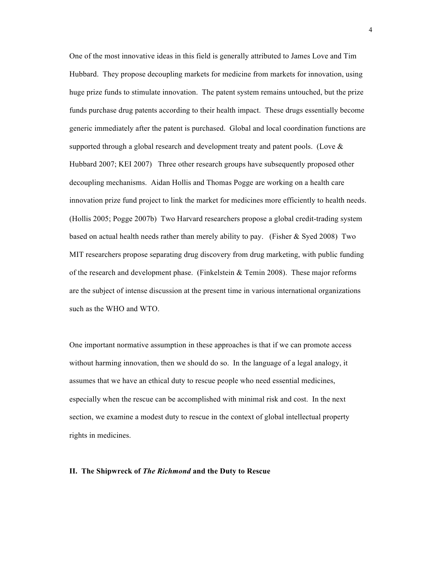One of the most innovative ideas in this field is generally attributed to James Love and Tim Hubbard. They propose decoupling markets for medicine from markets for innovation, using huge prize funds to stimulate innovation. The patent system remains untouched, but the prize funds purchase drug patents according to their health impact. These drugs essentially become generic immediately after the patent is purchased. Global and local coordination functions are supported through a global research and development treaty and patent pools. (Love & Hubbard 2007; KEI 2007) Three other research groups have subsequently proposed other decoupling mechanisms. Aidan Hollis and Thomas Pogge are working on a health care innovation prize fund project to link the market for medicines more efficiently to health needs. (Hollis 2005; Pogge 2007b) Two Harvard researchers propose a global credit-trading system based on actual health needs rather than merely ability to pay. (Fisher  $&$  Syed 2008) Two MIT researchers propose separating drug discovery from drug marketing, with public funding of the research and development phase. (Finkelstein & Temin 2008). These major reforms are the subject of intense discussion at the present time in various international organizations such as the WHO and WTO.

One important normative assumption in these approaches is that if we can promote access without harming innovation, then we should do so. In the language of a legal analogy, it assumes that we have an ethical duty to rescue people who need essential medicines, especially when the rescue can be accomplished with minimal risk and cost. In the next section, we examine a modest duty to rescue in the context of global intellectual property rights in medicines.

#### **II. The Shipwreck of** *The Richmond* **and the Duty to Rescue**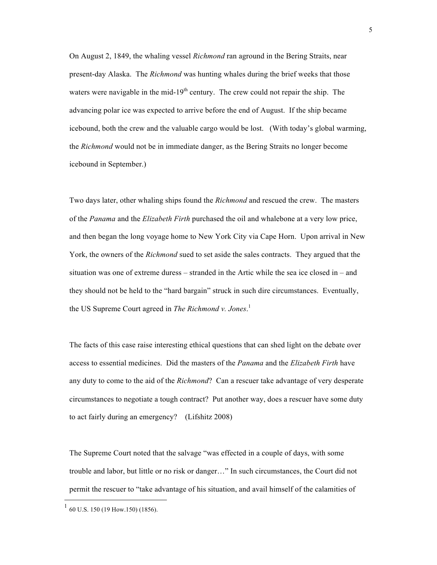On August 2, 1849, the whaling vessel *Richmond* ran aground in the Bering Straits, near present-day Alaska. The *Richmond* was hunting whales during the brief weeks that those waters were navigable in the mid-19<sup>th</sup> century. The crew could not repair the ship. The advancing polar ice was expected to arrive before the end of August. If the ship became icebound, both the crew and the valuable cargo would be lost. (With today's global warming, the *Richmond* would not be in immediate danger, as the Bering Straits no longer become icebound in September.)

Two days later, other whaling ships found the *Richmond* and rescued the crew. The masters of the *Panama* and the *Elizabeth Firth* purchased the oil and whalebone at a very low price, and then began the long voyage home to New York City via Cape Horn. Upon arrival in New York, the owners of the *Richmond* sued to set aside the sales contracts. They argued that the situation was one of extreme duress – stranded in the Artic while the sea ice closed in – and they should not be held to the "hard bargain" struck in such dire circumstances. Eventually, the US Supreme Court agreed in *The Richmond v. Jones*. 1

The facts of this case raise interesting ethical questions that can shed light on the debate over access to essential medicines. Did the masters of the *Panama* and the *Elizabeth Firth* have any duty to come to the aid of the *Richmond*? Can a rescuer take advantage of very desperate circumstances to negotiate a tough contract? Put another way, does a rescuer have some duty to act fairly during an emergency? (Lifshitz 2008)

The Supreme Court noted that the salvage "was effected in a couple of days, with some trouble and labor, but little or no risk or danger…" In such circumstances, the Court did not permit the rescuer to "take advantage of his situation, and avail himself of the calamities of

 <sup>1</sup> 60 U.S. 150 (19 How.150) (1856).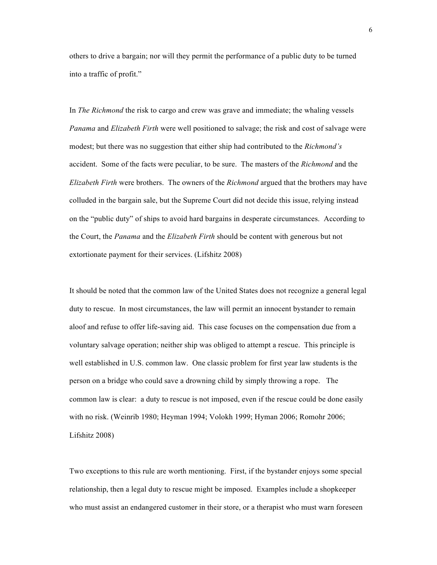others to drive a bargain; nor will they permit the performance of a public duty to be turned into a traffic of profit."

In *The Richmond* the risk to cargo and crew was grave and immediate; the whaling vessels *Panama* and *Elizabeth Firth* were well positioned to salvage; the risk and cost of salvage were modest; but there was no suggestion that either ship had contributed to the *Richmond's* accident. Some of the facts were peculiar, to be sure. The masters of the *Richmond* and the *Elizabeth Firth* were brothers. The owners of the *Richmond* argued that the brothers may have colluded in the bargain sale, but the Supreme Court did not decide this issue, relying instead on the "public duty" of ships to avoid hard bargains in desperate circumstances. According to the Court, the *Panama* and the *Elizabeth Firth* should be content with generous but not extortionate payment for their services. (Lifshitz 2008)

It should be noted that the common law of the United States does not recognize a general legal duty to rescue. In most circumstances, the law will permit an innocent bystander to remain aloof and refuse to offer life-saving aid. This case focuses on the compensation due from a voluntary salvage operation; neither ship was obliged to attempt a rescue. This principle is well established in U.S. common law. One classic problem for first year law students is the person on a bridge who could save a drowning child by simply throwing a rope. The common law is clear: a duty to rescue is not imposed, even if the rescue could be done easily with no risk. (Weinrib 1980; Heyman 1994; Volokh 1999; Hyman 2006; Romohr 2006; Lifshitz 2008)

Two exceptions to this rule are worth mentioning. First, if the bystander enjoys some special relationship, then a legal duty to rescue might be imposed. Examples include a shopkeeper who must assist an endangered customer in their store, or a therapist who must warn foreseen

6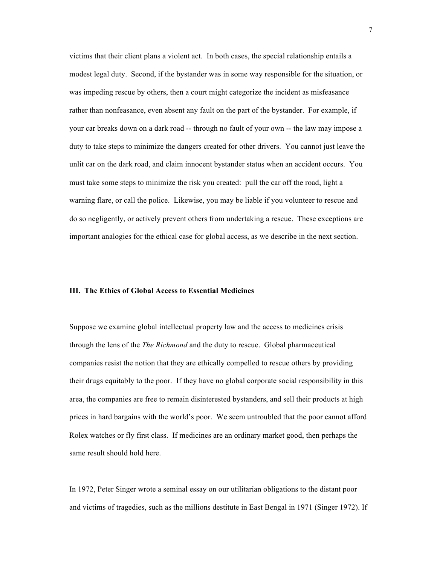victims that their client plans a violent act. In both cases, the special relationship entails a modest legal duty. Second, if the bystander was in some way responsible for the situation, or was impeding rescue by others, then a court might categorize the incident as misfeasance rather than nonfeasance, even absent any fault on the part of the bystander. For example, if your car breaks down on a dark road -- through no fault of your own -- the law may impose a duty to take steps to minimize the dangers created for other drivers. You cannot just leave the unlit car on the dark road, and claim innocent bystander status when an accident occurs. You must take some steps to minimize the risk you created: pull the car off the road, light a warning flare, or call the police. Likewise, you may be liable if you volunteer to rescue and do so negligently, or actively prevent others from undertaking a rescue. These exceptions are important analogies for the ethical case for global access, as we describe in the next section.

#### **III. The Ethics of Global Access to Essential Medicines**

Suppose we examine global intellectual property law and the access to medicines crisis through the lens of the *The Richmond* and the duty to rescue. Global pharmaceutical companies resist the notion that they are ethically compelled to rescue others by providing their drugs equitably to the poor. If they have no global corporate social responsibility in this area, the companies are free to remain disinterested bystanders, and sell their products at high prices in hard bargains with the world's poor. We seem untroubled that the poor cannot afford Rolex watches or fly first class. If medicines are an ordinary market good, then perhaps the same result should hold here.

In 1972, Peter Singer wrote a seminal essay on our utilitarian obligations to the distant poor and victims of tragedies, such as the millions destitute in East Bengal in 1971 (Singer 1972). If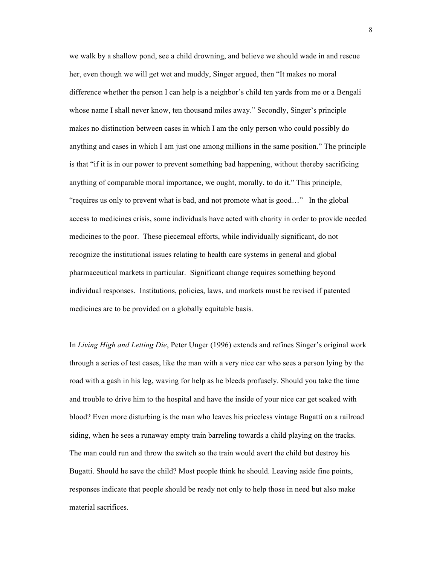we walk by a shallow pond, see a child drowning, and believe we should wade in and rescue her, even though we will get wet and muddy, Singer argued, then "It makes no moral difference whether the person I can help is a neighbor's child ten yards from me or a Bengali whose name I shall never know, ten thousand miles away." Secondly, Singer's principle makes no distinction between cases in which I am the only person who could possibly do anything and cases in which I am just one among millions in the same position." The principle is that "if it is in our power to prevent something bad happening, without thereby sacrificing anything of comparable moral importance, we ought, morally, to do it." This principle, "requires us only to prevent what is bad, and not promote what is good…" In the global access to medicines crisis, some individuals have acted with charity in order to provide needed medicines to the poor. These piecemeal efforts, while individually significant, do not recognize the institutional issues relating to health care systems in general and global pharmaceutical markets in particular. Significant change requires something beyond individual responses. Institutions, policies, laws, and markets must be revised if patented medicines are to be provided on a globally equitable basis.

In *Living High and Letting Die*, Peter Unger (1996) extends and refines Singer's original work through a series of test cases, like the man with a very nice car who sees a person lying by the road with a gash in his leg, waving for help as he bleeds profusely. Should you take the time and trouble to drive him to the hospital and have the inside of your nice car get soaked with blood? Even more disturbing is the man who leaves his priceless vintage Bugatti on a railroad siding, when he sees a runaway empty train barreling towards a child playing on the tracks. The man could run and throw the switch so the train would avert the child but destroy his Bugatti. Should he save the child? Most people think he should. Leaving aside fine points, responses indicate that people should be ready not only to help those in need but also make material sacrifices.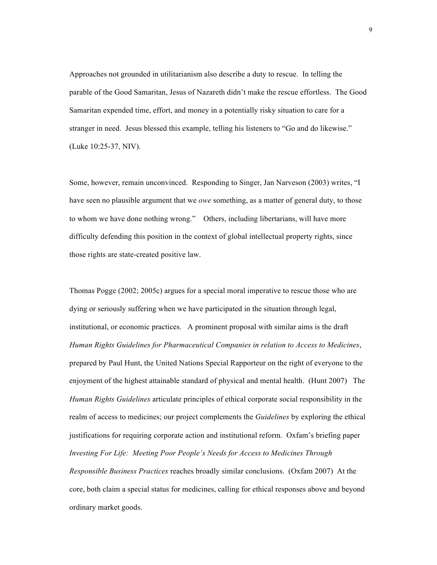Approaches not grounded in utilitarianism also describe a duty to rescue. In telling the parable of the Good Samaritan, Jesus of Nazareth didn't make the rescue effortless. The Good Samaritan expended time, effort, and money in a potentially risky situation to care for a stranger in need. Jesus blessed this example, telling his listeners to "Go and do likewise." (Luke 10:25-37, NIV).

Some, however, remain unconvinced. Responding to Singer, Jan Narveson (2003) writes, "I have seen no plausible argument that we *owe* something, as a matter of general duty, to those to whom we have done nothing wrong." Others, including libertarians, will have more difficulty defending this position in the context of global intellectual property rights, since those rights are state-created positive law.

Thomas Pogge (2002; 2005c) argues for a special moral imperative to rescue those who are dying or seriously suffering when we have participated in the situation through legal, institutional, or economic practices. A prominent proposal with similar aims is the draft *Human Rights Guidelines for Pharmaceutical Companies in relation to Access to Medicines*, prepared by Paul Hunt, the United Nations Special Rapporteur on the right of everyone to the enjoyment of the highest attainable standard of physical and mental health. (Hunt 2007) The *Human Rights Guidelines* articulate principles of ethical corporate social responsibility in the realm of access to medicines; our project complements the *Guidelines* by exploring the ethical justifications for requiring corporate action and institutional reform. Oxfam's briefing paper *Investing For Life: Meeting Poor People's Needs for Access to Medicines Through Responsible Business Practices* reaches broadly similar conclusions. (Oxfam 2007) At the core, both claim a special status for medicines, calling for ethical responses above and beyond ordinary market goods.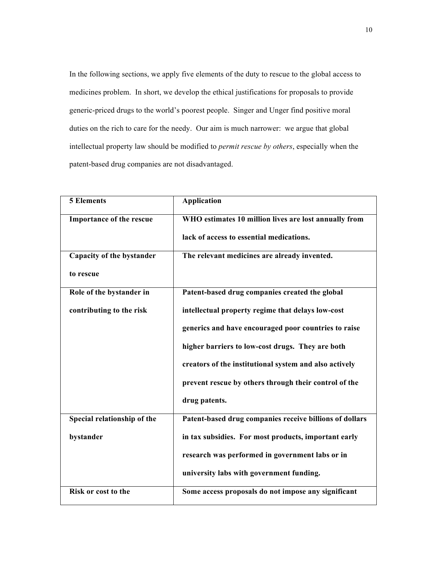In the following sections, we apply five elements of the duty to rescue to the global access to medicines problem. In short, we develop the ethical justifications for proposals to provide generic-priced drugs to the world's poorest people. Singer and Unger find positive moral duties on the rich to care for the needy. Our aim is much narrower: we argue that global intellectual property law should be modified to *permit rescue by others*, especially when the patent-based drug companies are not disadvantaged.

| <b>5 Elements</b>               | Application                                             |
|---------------------------------|---------------------------------------------------------|
| <b>Importance of the rescue</b> | WHO estimates 10 million lives are lost annually from   |
|                                 | lack of access to essential medications.                |
| Capacity of the bystander       | The relevant medicines are already invented.            |
| to rescue                       |                                                         |
| Role of the bystander in        | Patent-based drug companies created the global          |
| contributing to the risk        | intellectual property regime that delays low-cost       |
|                                 | generics and have encouraged poor countries to raise    |
|                                 | higher barriers to low-cost drugs. They are both        |
|                                 | creators of the institutional system and also actively  |
|                                 | prevent rescue by others through their control of the   |
|                                 | drug patents.                                           |
| Special relationship of the     | Patent-based drug companies receive billions of dollars |
| bystander                       | in tax subsidies. For most products, important early    |
|                                 | research was performed in government labs or in         |
|                                 | university labs with government funding.                |
| Risk or cost to the             | Some access proposals do not impose any significant     |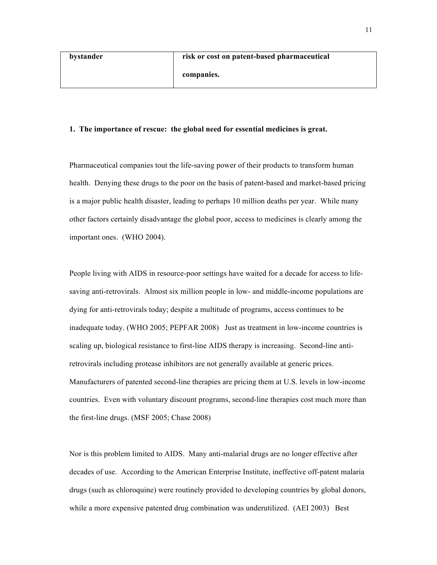#### **1. The importance of rescue: the global need for essential medicines is great.**

Pharmaceutical companies tout the life-saving power of their products to transform human health. Denying these drugs to the poor on the basis of patent-based and market-based pricing is a major public health disaster, leading to perhaps 10 million deaths per year. While many other factors certainly disadvantage the global poor, access to medicines is clearly among the important ones. (WHO 2004).

People living with AIDS in resource-poor settings have waited for a decade for access to lifesaving anti-retrovirals. Almost six million people in low- and middle-income populations are dying for anti-retrovirals today; despite a multitude of programs, access continues to be inadequate today. (WHO 2005; PEPFAR 2008) Just as treatment in low-income countries is scaling up, biological resistance to first-line AIDS therapy is increasing. Second-line antiretrovirals including protease inhibitors are not generally available at generic prices. Manufacturers of patented second-line therapies are pricing them at U.S. levels in low-income countries. Even with voluntary discount programs, second-line therapies cost much more than the first-line drugs. (MSF 2005; Chase 2008)

Nor is this problem limited to AIDS. Many anti-malarial drugs are no longer effective after decades of use. According to the American Enterprise Institute, ineffective off-patent malaria drugs (such as chloroquine) were routinely provided to developing countries by global donors, while a more expensive patented drug combination was underutilized. (AEI 2003) Best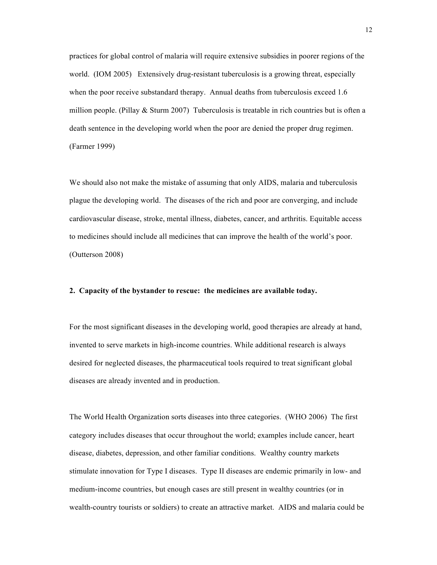practices for global control of malaria will require extensive subsidies in poorer regions of the world. (IOM 2005) Extensively drug-resistant tuberculosis is a growing threat, especially when the poor receive substandard therapy. Annual deaths from tuberculosis exceed 1.6 million people. (Pillay & Sturm 2007) Tuberculosis is treatable in rich countries but is often a death sentence in the developing world when the poor are denied the proper drug regimen. (Farmer 1999)

We should also not make the mistake of assuming that only AIDS, malaria and tuberculosis plague the developing world. The diseases of the rich and poor are converging, and include cardiovascular disease, stroke, mental illness, diabetes, cancer, and arthritis. Equitable access to medicines should include all medicines that can improve the health of the world's poor. (Outterson 2008)

#### **2. Capacity of the bystander to rescue: the medicines are available today.**

For the most significant diseases in the developing world, good therapies are already at hand, invented to serve markets in high-income countries. While additional research is always desired for neglected diseases, the pharmaceutical tools required to treat significant global diseases are already invented and in production.

The World Health Organization sorts diseases into three categories. (WHO 2006) The first category includes diseases that occur throughout the world; examples include cancer, heart disease, diabetes, depression, and other familiar conditions. Wealthy country markets stimulate innovation for Type I diseases. Type II diseases are endemic primarily in low- and medium-income countries, but enough cases are still present in wealthy countries (or in wealth-country tourists or soldiers) to create an attractive market. AIDS and malaria could be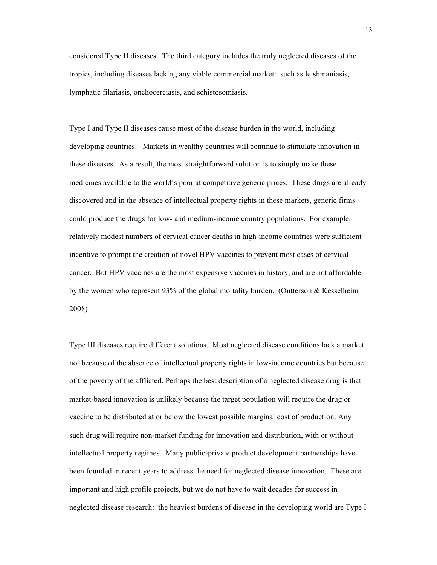considered Type II diseases. The third category includes the truly neglected diseases of the tropics, including diseases lacking any viable commercial market: such as leishmaniasis, lymphatic filariasis, onchocerciasis, and schistosomiasis.

Type I and Type II diseases cause most of the disease burden in the world, including developing countries. Markets in wealthy countries will continue to stimulate innovation in these diseases. As a result, the most straightforward solution is to simply make these medicines available to the world's poor at competitive generic prices. These drugs are already discovered and in the absence of intellectual property rights in these markets, generic firms could produce the drugs for low- and medium-income country populations. For example, relatively modest numbers of cervical cancer deaths in high-income countries were sufficient incentive to prompt the creation of novel HPV vaccines to prevent most cases of cervical cancer. But HPV vaccines are the most expensive vaccines in history, and are not affordable by the women who represent 93% of the global mortality burden. (Outterson & Kesselheim 2008)

Type III diseases require different solutions. Most neglected disease conditions lack a market not because of the absence of intellectual property rights in low-income countries but because of the poverty of the afflicted. Perhaps the best description of a neglected disease drug is that market-based innovation is unlikely because the target population will require the drug or vaccine to be distributed at or below the lowest possible marginal cost of production. Any such drug will require non-market funding for innovation and distribution, with or without intellectual property regimes. Many public-private product development partnerships have been founded in recent years to address the need for neglected disease innovation. These are important and high profile projects, but we do not have to wait decades for success in neglected disease research: the heaviest burdens of disease in the developing world are Type I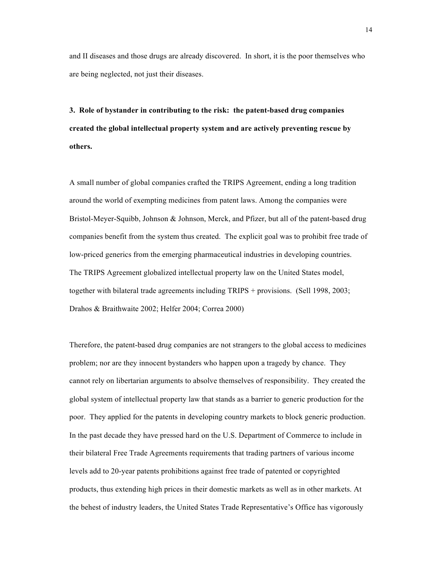and II diseases and those drugs are already discovered. In short, it is the poor themselves who are being neglected, not just their diseases.

**3.****Role of bystander in contributing to the risk: the patent-based drug companies created the global intellectual property system and are actively preventing rescue by others.**

A small number of global companies crafted the TRIPS Agreement, ending a long tradition around the world of exempting medicines from patent laws. Among the companies were Bristol-Meyer-Squibb, Johnson & Johnson, Merck, and Pfizer, but all of the patent-based drug companies benefit from the system thus created. The explicit goal was to prohibit free trade of low-priced generics from the emerging pharmaceutical industries in developing countries. The TRIPS Agreement globalized intellectual property law on the United States model, together with bilateral trade agreements including TRIPS + provisions. (Sell 1998, 2003; Drahos & Braithwaite 2002; Helfer 2004; Correa 2000)

Therefore, the patent-based drug companies are not strangers to the global access to medicines problem; nor are they innocent bystanders who happen upon a tragedy by chance. They cannot rely on libertarian arguments to absolve themselves of responsibility. They created the global system of intellectual property law that stands as a barrier to generic production for the poor. They applied for the patents in developing country markets to block generic production. In the past decade they have pressed hard on the U.S. Department of Commerce to include in their bilateral Free Trade Agreements requirements that trading partners of various income levels add to 20-year patents prohibitions against free trade of patented or copyrighted products, thus extending high prices in their domestic markets as well as in other markets. At the behest of industry leaders, the United States Trade Representative's Office has vigorously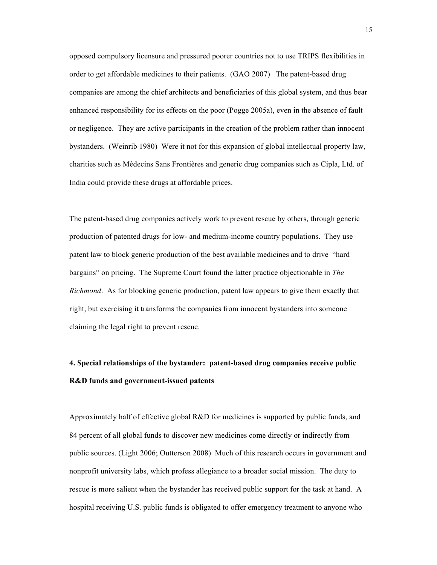opposed compulsory licensure and pressured poorer countries not to use TRIPS flexibilities in order to get affordable medicines to their patients. (GAO 2007) The patent-based drug companies are among the chief architects and beneficiaries of this global system, and thus bear enhanced responsibility for its effects on the poor (Pogge 2005a), even in the absence of fault or negligence. They are active participants in the creation of the problem rather than innocent bystanders. (Weinrib 1980) Were it not for this expansion of global intellectual property law, charities such as Médecins Sans Frontières and generic drug companies such as Cipla, Ltd. of India could provide these drugs at affordable prices.

The patent-based drug companies actively work to prevent rescue by others, through generic production of patented drugs for low- and medium-income country populations. They use patent law to block generic production of the best available medicines and to drive "hard bargains" on pricing. The Supreme Court found the latter practice objectionable in *The Richmond*. As for blocking generic production, patent law appears to give them exactly that right, but exercising it transforms the companies from innocent bystanders into someone claiming the legal right to prevent rescue.

## **4. Special relationships of the bystander: patent-based drug companies receive public R&D funds and government-issued patents**

Approximately half of effective global R&D for medicines is supported by public funds, and 84 percent of all global funds to discover new medicines come directly or indirectly from public sources. (Light 2006; Outterson 2008) Much of this research occurs in government and nonprofit university labs, which profess allegiance to a broader social mission. The duty to rescue is more salient when the bystander has received public support for the task at hand. A hospital receiving U.S. public funds is obligated to offer emergency treatment to anyone who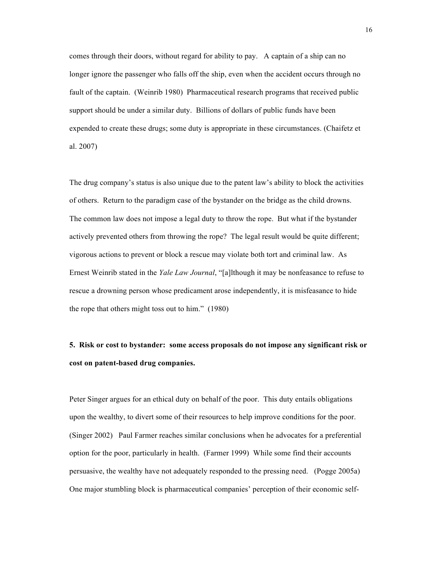comes through their doors, without regard for ability to pay. A captain of a ship can no longer ignore the passenger who falls off the ship, even when the accident occurs through no fault of the captain. (Weinrib 1980) Pharmaceutical research programs that received public support should be under a similar duty. Billions of dollars of public funds have been expended to create these drugs; some duty is appropriate in these circumstances. (Chaifetz et al. 2007)

The drug company's status is also unique due to the patent law's ability to block the activities of others. Return to the paradigm case of the bystander on the bridge as the child drowns. The common law does not impose a legal duty to throw the rope. But what if the bystander actively prevented others from throwing the rope? The legal result would be quite different; vigorous actions to prevent or block a rescue may violate both tort and criminal law. As Ernest Weinrib stated in the *Yale Law Journal*, "[a]lthough it may be nonfeasance to refuse to rescue a drowning person whose predicament arose independently, it is misfeasance to hide the rope that others might toss out to him." (1980)

## **5.****Risk or cost to bystander: some access proposals do not impose any significant risk or cost on patent-based drug companies.**

Peter Singer argues for an ethical duty on behalf of the poor. This duty entails obligations upon the wealthy, to divert some of their resources to help improve conditions for the poor. (Singer 2002) Paul Farmer reaches similar conclusions when he advocates for a preferential option for the poor, particularly in health. (Farmer 1999) While some find their accounts persuasive, the wealthy have not adequately responded to the pressing need. (Pogge 2005a) One major stumbling block is pharmaceutical companies' perception of their economic self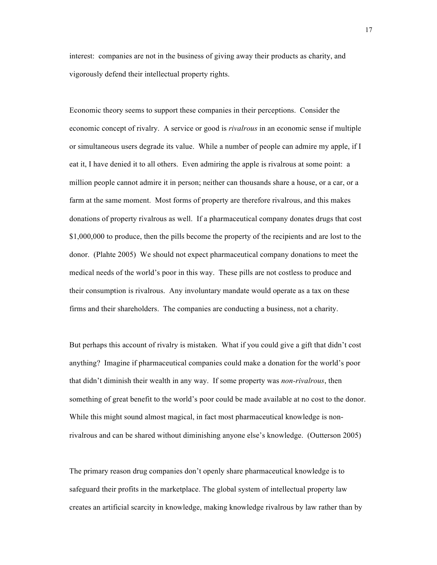interest: companies are not in the business of giving away their products as charity, and vigorously defend their intellectual property rights.

Economic theory seems to support these companies in their perceptions. Consider the economic concept of rivalry. A service or good is *rivalrous* in an economic sense if multiple or simultaneous users degrade its value. While a number of people can admire my apple, if I eat it, I have denied it to all others. Even admiring the apple is rivalrous at some point: a million people cannot admire it in person; neither can thousands share a house, or a car, or a farm at the same moment. Most forms of property are therefore rivalrous, and this makes donations of property rivalrous as well. If a pharmaceutical company donates drugs that cost \$1,000,000 to produce, then the pills become the property of the recipients and are lost to the donor. (Plahte 2005) We should not expect pharmaceutical company donations to meet the medical needs of the world's poor in this way. These pills are not costless to produce and their consumption is rivalrous. Any involuntary mandate would operate as a tax on these firms and their shareholders. The companies are conducting a business, not a charity.

But perhaps this account of rivalry is mistaken. What if you could give a gift that didn't cost anything? Imagine if pharmaceutical companies could make a donation for the world's poor that didn't diminish their wealth in any way. If some property was *non-rivalrous*, then something of great benefit to the world's poor could be made available at no cost to the donor. While this might sound almost magical, in fact most pharmaceutical knowledge is nonrivalrous and can be shared without diminishing anyone else's knowledge. (Outterson 2005)

The primary reason drug companies don't openly share pharmaceutical knowledge is to safeguard their profits in the marketplace. The global system of intellectual property law creates an artificial scarcity in knowledge, making knowledge rivalrous by law rather than by

17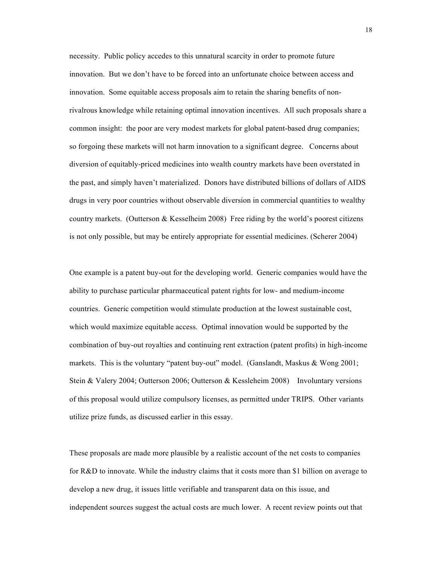necessity. Public policy accedes to this unnatural scarcity in order to promote future innovation. But we don't have to be forced into an unfortunate choice between access and innovation. Some equitable access proposals aim to retain the sharing benefits of nonrivalrous knowledge while retaining optimal innovation incentives. All such proposals share a common insight: the poor are very modest markets for global patent-based drug companies; so forgoing these markets will not harm innovation to a significant degree. Concerns about diversion of equitably-priced medicines into wealth country markets have been overstated in the past, and simply haven't materialized. Donors have distributed billions of dollars of AIDS drugs in very poor countries without observable diversion in commercial quantities to wealthy country markets. (Outterson & Kesselheim 2008) Free riding by the world's poorest citizens is not only possible, but may be entirely appropriate for essential medicines. (Scherer 2004)

One example is a patent buy-out for the developing world. Generic companies would have the ability to purchase particular pharmaceutical patent rights for low- and medium-income countries. Generic competition would stimulate production at the lowest sustainable cost, which would maximize equitable access. Optimal innovation would be supported by the combination of buy-out royalties and continuing rent extraction (patent profits) in high-income markets. This is the voluntary "patent buy-out" model. (Ganslandt, Maskus & Wong 2001; Stein & Valery 2004; Outterson 2006; Outterson & Kessleheim 2008) Involuntary versions of this proposal would utilize compulsory licenses, as permitted under TRIPS. Other variants utilize prize funds, as discussed earlier in this essay.

These proposals are made more plausible by a realistic account of the net costs to companies for R&D to innovate. While the industry claims that it costs more than \$1 billion on average to develop a new drug, it issues little verifiable and transparent data on this issue, and independent sources suggest the actual costs are much lower. A recent review points out that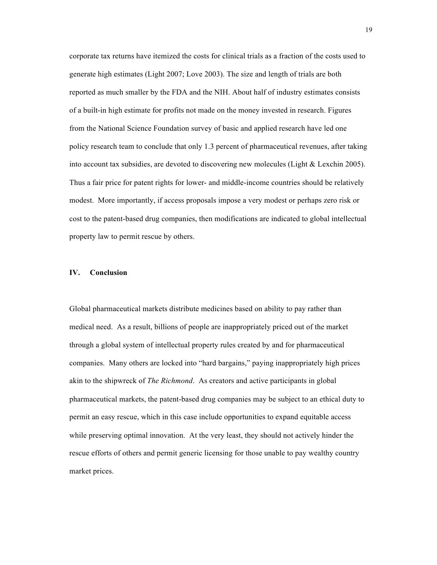corporate tax returns have itemized the costs for clinical trials as a fraction of the costs used to generate high estimates (Light 2007; Love 2003). The size and length of trials are both reported as much smaller by the FDA and the NIH. About half of industry estimates consists of a built-in high estimate for profits not made on the money invested in research. Figures from the National Science Foundation survey of basic and applied research have led one policy research team to conclude that only 1.3 percent of pharmaceutical revenues, after taking into account tax subsidies, are devoted to discovering new molecules (Light  $&$  Lexchin 2005). Thus a fair price for patent rights for lower- and middle-income countries should be relatively modest. More importantly, if access proposals impose a very modest or perhaps zero risk or cost to the patent-based drug companies, then modifications are indicated to global intellectual property law to permit rescue by others.

#### **IV. Conclusion**

Global pharmaceutical markets distribute medicines based on ability to pay rather than medical need. As a result, billions of people are inappropriately priced out of the market through a global system of intellectual property rules created by and for pharmaceutical companies. Many others are locked into "hard bargains," paying inappropriately high prices akin to the shipwreck of *The Richmond*. As creators and active participants in global pharmaceutical markets, the patent-based drug companies may be subject to an ethical duty to permit an easy rescue, which in this case include opportunities to expand equitable access while preserving optimal innovation. At the very least, they should not actively hinder the rescue efforts of others and permit generic licensing for those unable to pay wealthy country market prices.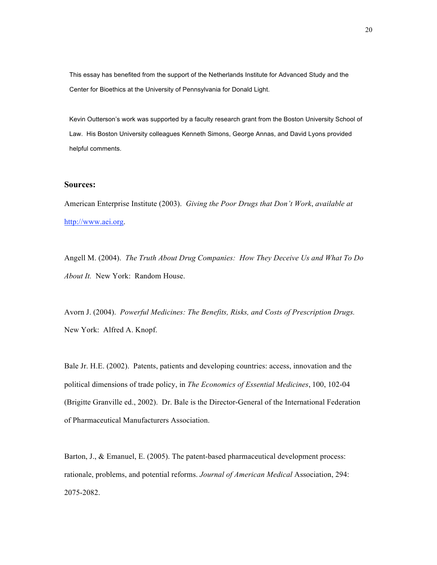This essay has benefited from the support of the Netherlands Institute for Advanced Study and the Center for Bioethics at the University of Pennsylvania for Donald Light.

Kevin Outterson's work was supported by a faculty research grant from the Boston University School of Law. His Boston University colleagues Kenneth Simons, George Annas, and David Lyons provided helpful comments.

#### **Sources:**

American Enterprise Institute (2003). *Giving the Poor Drugs that Don't Work*, *available at*  http://www.aei.org.

Angell M. (2004). *The Truth About Drug Companies: How They Deceive Us and What To Do About It.* New York: Random House.

Avorn J. (2004). *Powerful Medicines: The Benefits, Risks, and Costs of Prescription Drugs.* New York: Alfred A. Knopf.

Bale Jr. H.E. (2002). Patents, patients and developing countries: access, innovation and the political dimensions of trade policy, in *The Economics of Essential Medicines*, 100, 102-04 (Brigitte Granville ed., 2002). Dr. Bale is the Director-General of the International Federation of Pharmaceutical Manufacturers Association.

Barton, J., & Emanuel, E. (2005). The patent-based pharmaceutical development process: rationale, problems, and potential reforms. *Journal of American Medical* Association, 294: 2075-2082.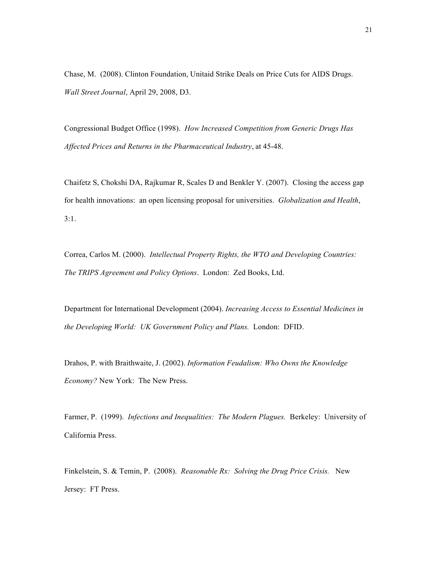Chase, M. (2008). Clinton Foundation, Unitaid Strike Deals on Price Cuts for AIDS Drugs. *Wall Street Journal*, April 29, 2008, D3.

Congressional Budget Office (1998). *How Increased Competition from Generic Drugs Has Affected Prices and Returns in the Pharmaceutical Industry*, at 45-48.

Chaifetz S, Chokshi DA, Rajkumar R, Scales D and Benkler Y. (2007). Closing the access gap for health innovations: an open licensing proposal for universities. *Globalization and Health*,  $3:1.$ 

Correa, Carlos M. (2000). *Intellectual Property Rights, the WTO and Developing Countries: The TRIPS Agreement and Policy Options*. London: Zed Books, Ltd.

Department for International Development (2004). *Increasing Access to Essential Medicines in the Developing World: UK Government Policy and Plans.* London: DFID.

Drahos, P. with Braithwaite, J. (2002). *Information Feudalism: Who Owns the Knowledge Economy?* New York: The New Press.

Farmer, P. (1999). *Infections and Inequalities: The Modern Plagues.* Berkeley: University of California Press.

Finkelstein, S. & Temin, P. (2008). *Reasonable Rx: Solving the Drug Price Crisis.* New Jersey: FT Press.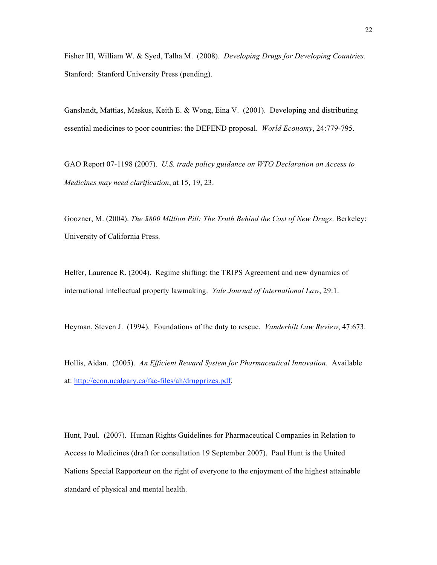Fisher III, William W. & Syed, Talha M. (2008). *Developing Drugs for Developing Countries.* Stanford: Stanford University Press (pending).

Ganslandt, Mattias, Maskus, Keith E. & Wong, Eina V. (2001). Developing and distributing essential medicines to poor countries: the DEFEND proposal. *World Economy*, 24:779-795.

GAO Report 07-1198 (2007). *U.S. trade policy guidance on WTO Declaration on Access to Medicines may need clarification*, at 15, 19, 23.

Goozner, M. (2004). *The \$800 Million Pill: The Truth Behind the Cost of New Drugs*. Berkeley: University of California Press.

Helfer, Laurence R. (2004). Regime shifting: the TRIPS Agreement and new dynamics of international intellectual property lawmaking. *Yale Journal of International Law*, 29:1.

Heyman, Steven J. (1994). Foundations of the duty to rescue. *Vanderbilt Law Review*, 47:673.

Hollis, Aidan. (2005). *An Efficient Reward System for Pharmaceutical Innovation*. Available at: http://econ.ucalgary.ca/fac-files/ah/drugprizes.pdf.

Hunt, Paul. (2007). Human Rights Guidelines for Pharmaceutical Companies in Relation to Access to Medicines (draft for consultation 19 September 2007). Paul Hunt is the United Nations Special Rapporteur on the right of everyone to the enjoyment of the highest attainable standard of physical and mental health.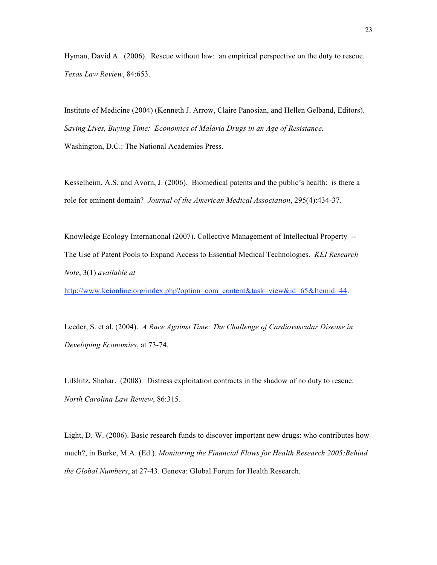Hyman, David A. (2006). Rescue without law: an empirical perspective on the duty to rescue. *Texas Law Review*, 84:653.

Institute of Medicine (2004) (Kenneth J. Arrow, Claire Panosian, and Hellen Gelband, Editors). *Saving Lives, Buying Time: Economics of Malaria Drugs in an Age of Resistance.* Washington, D.C.: The National Academies Press.

Kesselheim, A.S. and Avorn, J. (2006). Biomedical patents and the public's health: is there a role for eminent domain? *Journal of the American Medical Association*, 295(4):434-37.

Knowledge Ecology International (2007). Collective Management of Intellectual Property -- The Use of Patent Pools to Expand Access to Essential Medical Technologies. *KEI Research Note*, 3(1) *available at*

http://www.keionline.org/index.php?option=com\_content&task=view&id=65&Itemid=44.

Leeder, S. et al. (2004). *A Race Against Time: The Challenge of Cardiovascular Disease in Developing Economies*, at 73-74.

Lifshitz, Shahar. (2008). Distress exploitation contracts in the shadow of no duty to rescue. *North Carolina Law Review*, 86:315.

Light, D. W. (2006). Basic research funds to discover important new drugs: who contributes how much?, in Burke, M.A. (Ed.). *Monitoring the Financial Flows for Health Research 2005:Behind the Global Numbers*, at 27-43. Geneva: Global Forum for Health Research.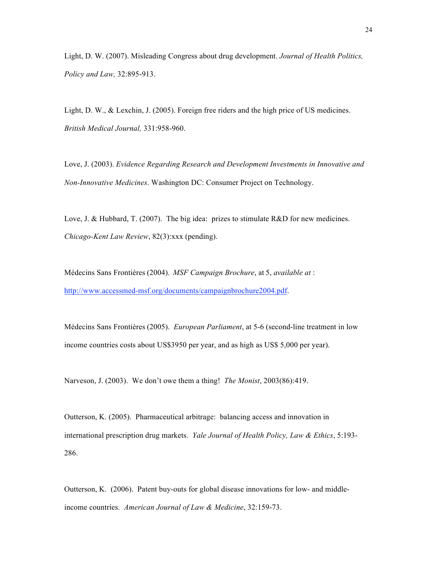Light, D. W. (2007). Misleading Congress about drug development. *Journal of Health Politics, Policy and Law,* 32:895-913.

Light, D. W., & Lexchin, J. (2005). Foreign free riders and the high price of US medicines. *British Medical Journal,* 331:958-960.

Love, J. (2003). *Evidence Regarding Research and Development Investments in Innovative and Non-Innovative Medicines*. Washington DC: Consumer Project on Technology.

Love, J. & Hubbard, T. (2007). The big idea: prizes to stimulate R&D for new medicines. *Chicago-Kent Law Review*, 82(3):xxx (pending).

Médecins Sans Frontières (2004). *MSF Campaign Brochure*, at 5, *available at* : http://www.accessmed-msf.org/documents/campaignbrochure2004.pdf.

Médecins Sans Frontières (2005). *European Parliament*, at 5-6 (second-line treatment in low income countries costs about US\$3950 per year, and as high as US\$ 5,000 per year).

Narveson, J. (2003). We don't owe them a thing! *The Monist*, 2003(86):419.

Outterson, K. (2005). Pharmaceutical arbitrage: balancing access and innovation in international prescription drug markets. *Yale Journal of Health Policy, Law & Ethics*, 5:193- 286.

Outterson, K. (2006). Patent buy-outs for global disease innovations for low- and middleincome countries. *American Journal of Law & Medicine*, 32:159-73.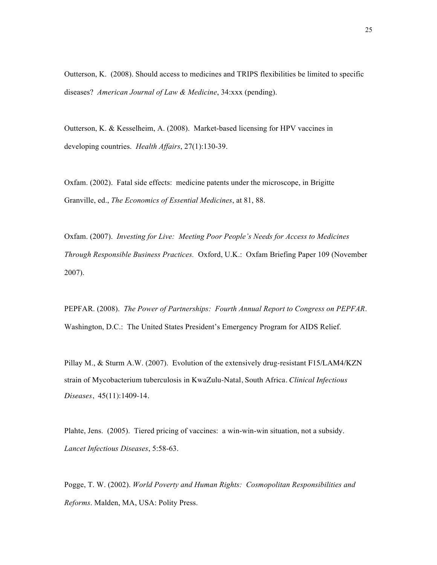Outterson, K. (2008). Should access to medicines and TRIPS flexibilities be limited to specific diseases? *American Journal of Law & Medicine*, 34:xxx (pending).

Outterson, K. & Kesselheim, A. (2008). Market-based licensing for HPV vaccines in developing countries. *Health Affairs*, 27(1):130-39.

Oxfam. (2002). Fatal side effects: medicine patents under the microscope, in Brigitte Granville, ed., *The Economics of Essential Medicines*, at 81, 88.

Oxfam. (2007). *Investing for Live: Meeting Poor People's Needs for Access to Medicines Through Responsible Business Practices.* Oxford, U.K.: Oxfam Briefing Paper 109 (November 2007).

PEPFAR. (2008). *The Power of Partnerships: Fourth Annual Report to Congress on PEPFAR*. Washington, D.C.: The United States President's Emergency Program for AIDS Relief.

Pillay M., & Sturm A.W. (2007). Evolution of the extensively drug-resistant F15/LAM4/KZN strain of Mycobacterium tuberculosis in KwaZulu-Natal, South Africa. *Clinical Infectious Diseases*, 45(11):1409-14.

Plahte, Jens. (2005). Tiered pricing of vaccines: a win-win-win situation, not a subsidy. *Lancet Infectious Diseases*, 5:58-63.

Pogge, T. W. (2002). *World Poverty and Human Rights: Cosmopolitan Responsibilities and Reforms*. Malden, MA, USA: Polity Press.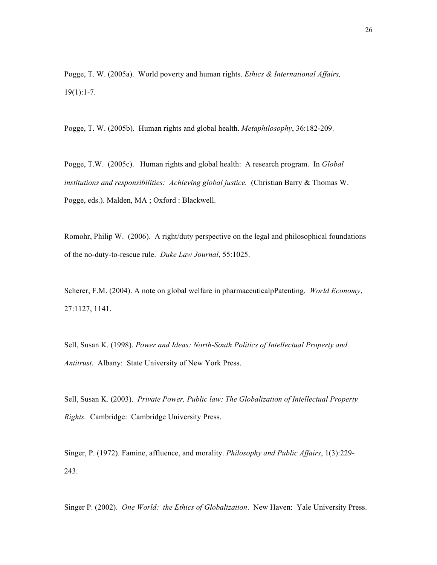Pogge, T. W. (2005a). World poverty and human rights. *Ethics & International Affairs,*  $19(1):1-7.$ 

Pogge, T. W. (2005b). Human rights and global health. *Metaphilosophy*, 36:182-209.

Pogge, T.W. (2005c). Human rights and global health: A research program. In *Global institutions and responsibilities: Achieving global justice.* (Christian Barry & Thomas W. Pogge, eds.). Malden, MA ; Oxford : Blackwell.

Romohr, Philip W. (2006). A right/duty perspective on the legal and philosophical foundations of the no-duty-to-rescue rule. *Duke Law Journal*, 55:1025.

Scherer, F.M. (2004). A note on global welfare in pharmaceuticalpPatenting. *World Economy*, 27:1127, 1141.

Sell, Susan K. (1998). *Power and Ideas: North-South Politics of Intellectual Property and Antitrust*. Albany: State University of New York Press.

Sell, Susan K. (2003). *Private Power, Public law: The Globalization of Intellectual Property Rights.* Cambridge: Cambridge University Press.

Singer, P. (1972). Famine, affluence, and morality. *Philosophy and Public Affairs*, 1(3):229- 243.

Singer P. (2002). *One World: the Ethics of Globalization*. New Haven: Yale University Press.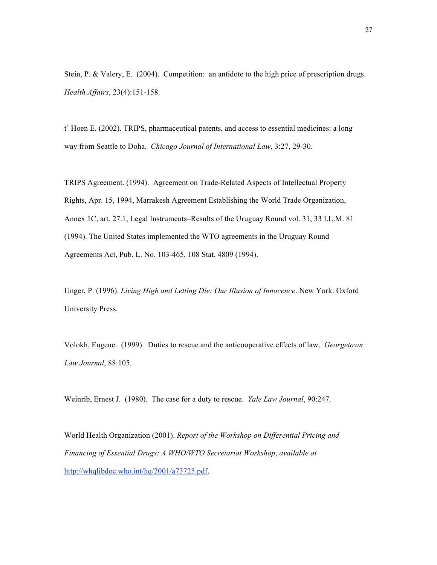Stein, P. & Valery, E. (2004). Competition: an antidote to the high price of prescription drugs. *Health Affairs*, 23(4):151-158.

t' Hoen E. (2002). TRIPS, pharmaceutical patents, and access to essential medicines: a long way from Seattle to Doha. *Chicago Journal of International Law*, 3:27, 29-30.

TRIPS Agreement. (1994). Agreement on Trade-Related Aspects of Intellectual Property Rights, Apr. 15, 1994, Marrakesh Agreement Establishing the World Trade Organization, Annex 1C, art. 27.1, Legal Instruments–Results of the Uruguay Round vol. 31, 33 I.L.M. 81 (1994). The United States implemented the WTO agreements in the Uruguay Round Agreements Act, Pub. L. No. 103-465, 108 Stat. 4809 (1994).

Unger, P. (1996). *Living High and Letting Die: Our Illusion of Innocence*. New York: Oxford University Press.

Volokh, Eugene. (1999). Duties to rescue and the anticooperative effects of law. *Georgetown Law Journal*, 88:105.

Weinrib, Ernest J. (1980). The case for a duty to rescue. *Yale Law Journal*, 90:247.

World Health Organization (2001). *Report of the Workshop on Differential Pricing and Financing of Essential Drugs: A WHO/WTO Secretariat Workshop*, *available at* http://whqlibdoc.who.int/hq/2001/a73725.pdf.